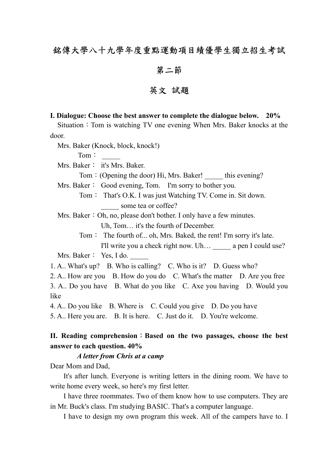# 銘傳大學八十九學年度重點運動項目績優學生獨立招生考試

### 第二節

# 英文 試題

### **I. Dialogue: Choose the best answer to complete the dialogue below. 20%**

Situation: Tom is watching TV one evening When Mrs. Baker knocks at the door.

Mrs. Baker (Knock, block, knock!)

 $Tom:$ 

Mrs. Baker: it's Mrs. Baker.

Tom: (Opening the door) Hi, Mrs. Baker! this evening?

Mrs. Baker: Good evening, Tom. I'm sorry to bother you.

Tom: That's O.K. I was just Watching TV. Come in. Sit down. some tea or coffee?

Mrs. Baker: Oh, no, please don't bother. I only have a few minutes.

Uh, Tom… it's the fourth of December.

Tom: The fourth of... oh, Mrs. Baked, the rent! I'm sorry it's late. I'll write you a check right now. Uh... a pen I could use?

Mrs. Baker: Yes, I do.

1. A.. What's up? B. Who is calling? C. Who is it? D. Guess who?

2. A.. How are you B. How do you do C. What's the matter D. Are you free

3. A.. Do you have B. What do you like C. Axe you having D. Would you like

4. A.. Do you like B. Where is C. Could you give D. Do you have

5. A.. Here you are. B. It is here. C. Just do it. D. You're welcome.

## **II. Reading comprehension**:**Based on the two passages, choose the best answer to each question. 40%**

### *A letter from Chris at a camp*

Dear Mom and Dad,

It's after lunch. Everyone is writing letters in the dining room. We have to write home every week, so here's my first letter.

I have three roommates. Two of them know how to use computers. They are in Mr. Buck's class. I'm studying BASIC. That's a computer language.

I have to design my own program this week. All of the campers have to. I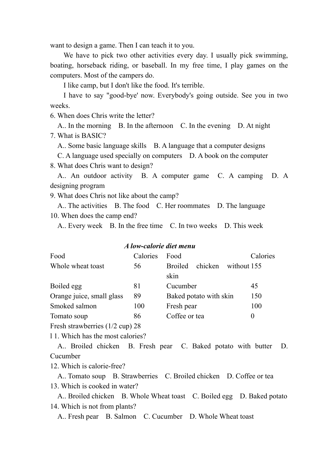want to design a game. Then I can teach it to you.

We have to pick two other activities every day. I usually pick swimming, boating, horseback riding, or baseball. In my free time, I play games on the computers. Most of the campers do.

I like camp, but I don't like the food. It's terrible.

I have to say "good-bye' now. Everybody's going outside. See you in two weeks.

6. When does Chris write the letter?

A.. In the morning B. In the afternoon C. In the evening D. At night 7. What is BASIC?

A.. Some basic language skills B. A language that a computer designs

C. A language used specially on computers D. A book on the computer

8. What does Chris want to design?

A.. An outdoor activity B. A computer game C. A camping D. A designing program

9. What does Chris not like about the camp?

A.. The activities B. The food C. Her roommates D. The language 10. When does the camp end?

A.. Every week B. In the free time C. In two weeks D. This week

#### *A low-calorie diet menu*

| Food                      | Calories | Food                              | Calories    |
|---------------------------|----------|-----------------------------------|-------------|
| Whole wheat toast         | 56       | chicken<br><b>Broiled</b><br>skin | without 155 |
| Boiled egg                | 81       | Cucumber                          | 45          |
| Orange juice, small glass | 89       | Baked potato with skin            | 150         |
| Smoked salmon             | 100      | Fresh pear                        | 100         |
| Tomato soup               | 86       | Coffee or tea                     | $\theta$    |
|                           |          |                                   |             |

Fresh strawberries (1/2 cup) 28

l 1. Which has the most calories?

A.. Broiled chicken B. Fresh pear C. Baked potato with butter D. Cucumber

12. Which is calorie-free?

A.. Tomato soup B. Strawberries C. Broiled chicken D. Coffee or tea 13. Which is cooked in water?

A.. Broiled chicken B. Whole Wheat toast C. Boiled egg D. Baked potato 14. Which is not from plants?

A.. Fresh pear B. Salmon C. Cucumber D. Whole Wheat toast